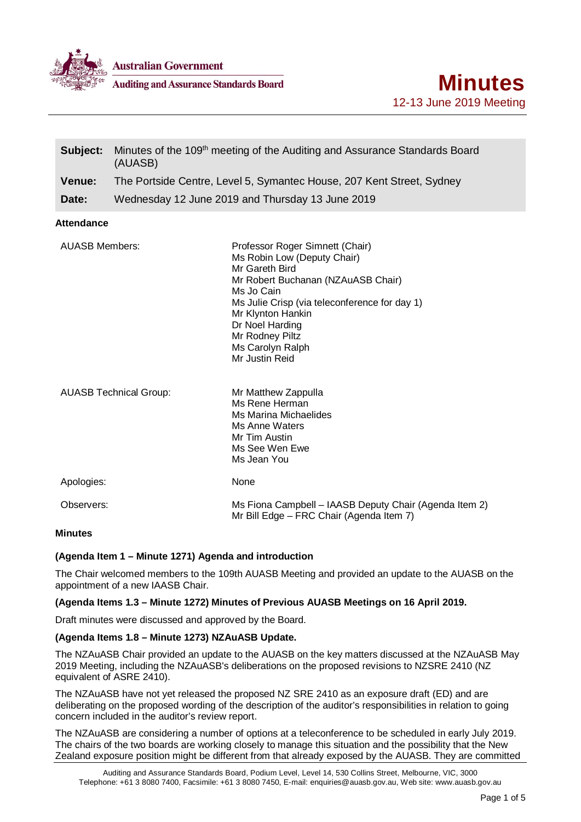

**Australian Government** 

**Auditing and Assurance Standards Board** 

| Subject:                      | Minutes of the 109 <sup>th</sup> meeting of the Auditing and Assurance Standards Board<br>(AUASB) |                                                                                                                                                                                                                                                                                        |
|-------------------------------|---------------------------------------------------------------------------------------------------|----------------------------------------------------------------------------------------------------------------------------------------------------------------------------------------------------------------------------------------------------------------------------------------|
| <b>Venue:</b>                 | The Portside Centre, Level 5, Symantec House, 207 Kent Street, Sydney                             |                                                                                                                                                                                                                                                                                        |
| Date:                         |                                                                                                   | Wednesday 12 June 2019 and Thursday 13 June 2019                                                                                                                                                                                                                                       |
| <b>Attendance</b>             |                                                                                                   |                                                                                                                                                                                                                                                                                        |
| <b>AUASB Members:</b>         |                                                                                                   | Professor Roger Simnett (Chair)<br>Ms Robin Low (Deputy Chair)<br>Mr Gareth Bird<br>Mr Robert Buchanan (NZAuASB Chair)<br>Ms Jo Cain<br>Ms Julie Crisp (via teleconference for day 1)<br>Mr Klynton Hankin<br>Dr Noel Harding<br>Mr Rodney Piltz<br>Ms Carolyn Ralph<br>Mr Justin Reid |
| <b>AUASB Technical Group:</b> |                                                                                                   | Mr Matthew Zappulla<br>Ms Rene Herman<br>Ms Marina Michaelides<br>Ms Anne Waters<br>Mr Tim Austin<br>Ms See Wen Ewe<br>Ms Jean You                                                                                                                                                     |
| Apologies:                    |                                                                                                   | None                                                                                                                                                                                                                                                                                   |
| Observers:                    |                                                                                                   | Ms Fiona Campbell - IAASB Deputy Chair (Agenda Item 2)<br>Mr Bill Edge - FRC Chair (Agenda Item 7)                                                                                                                                                                                     |
|                               |                                                                                                   |                                                                                                                                                                                                                                                                                        |

#### **Minutes**

## **(Agenda Item 1 – Minute 1271) Agenda and introduction**

The Chair welcomed members to the 109th AUASB Meeting and provided an update to the AUASB on the appointment of a new IAASB Chair.

### **(Agenda Items 1.3 – Minute 1272) Minutes of Previous AUASB Meetings on 16 April 2019.**

Draft minutes were discussed and approved by the Board.

## **(Agenda Items 1.8 – Minute 1273) NZAuASB Update.**

The NZAuASB Chair provided an update to the AUASB on the key matters discussed at the NZAuASB May 2019 Meeting, including the NZAuASB's deliberations on the proposed revisions to NZSRE 2410 (NZ equivalent of ASRE 2410).

The NZAuASB have not yet released the proposed NZ SRE 2410 as an exposure draft (ED) and are deliberating on the proposed wording of the description of the auditor's responsibilities in relation to going concern included in the auditor's review report.

The NZAuASB are considering a number of options at a teleconference to be scheduled in early July 2019. The chairs of the two boards are working closely to manage this situation and the possibility that the New Zealand exposure position might be different from that already exposed by the AUASB. They are committed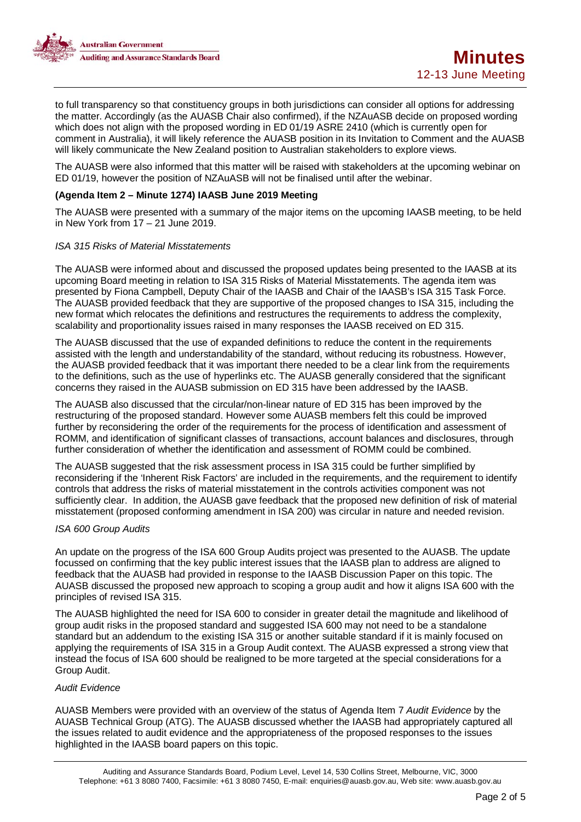

to full transparency so that constituency groups in both jurisdictions can consider all options for addressing the matter. Accordingly (as the AUASB Chair also confirmed), if the NZAuASB decide on proposed wording which does not align with the proposed wording in ED 01/19 ASRE 2410 (which is currently open for comment in Australia), it will likely reference the AUASB position in its Invitation to Comment and the AUASB will likely communicate the New Zealand position to Australian stakeholders to explore views.

The AUASB were also informed that this matter will be raised with stakeholders at the upcoming webinar on ED 01/19, however the position of NZAuASB will not be finalised until after the webinar.

### **(Agenda Item 2 – Minute 1274) IAASB June 2019 Meeting**

The AUASB were presented with a summary of the major items on the upcoming IAASB meeting, to be held in New York from 17 – 21 June 2019.

### *ISA 315 Risks of Material Misstatements*

The AUASB were informed about and discussed the proposed updates being presented to the IAASB at its upcoming Board meeting in relation to ISA 315 Risks of Material Misstatements. The agenda item was presented by Fiona Campbell, Deputy Chair of the IAASB and Chair of the IAASB's ISA 315 Task Force. The AUASB provided feedback that they are supportive of the proposed changes to ISA 315, including the new format which relocates the definitions and restructures the requirements to address the complexity, scalability and proportionality issues raised in many responses the IAASB received on ED 315.

The AUASB discussed that the use of expanded definitions to reduce the content in the requirements assisted with the length and understandability of the standard, without reducing its robustness. However, the AUASB provided feedback that it was important there needed to be a clear link from the requirements to the definitions, such as the use of hyperlinks etc. The AUASB generally considered that the significant concerns they raised in the AUASB submission on ED 315 have been addressed by the IAASB.

The AUASB also discussed that the circular/non-linear nature of ED 315 has been improved by the restructuring of the proposed standard. However some AUASB members felt this could be improved further by reconsidering the order of the requirements for the process of identification and assessment of ROMM, and identification of significant classes of transactions, account balances and disclosures, through further consideration of whether the identification and assessment of ROMM could be combined.

The AUASB suggested that the risk assessment process in ISA 315 could be further simplified by reconsidering if the 'Inherent Risk Factors' are included in the requirements, and the requirement to identify controls that address the risks of material misstatement in the controls activities component was not sufficiently clear. In addition, the AUASB gave feedback that the proposed new definition of risk of material misstatement (proposed conforming amendment in ISA 200) was circular in nature and needed revision.

#### *ISA 600 Group Audits*

An update on the progress of the ISA 600 Group Audits project was presented to the AUASB. The update focussed on confirming that the key public interest issues that the IAASB plan to address are aligned to feedback that the AUASB had provided in response to the IAASB Discussion Paper on this topic. The AUASB discussed the proposed new approach to scoping a group audit and how it aligns ISA 600 with the principles of revised ISA 315.

The AUASB highlighted the need for ISA 600 to consider in greater detail the magnitude and likelihood of group audit risks in the proposed standard and suggested ISA 600 may not need to be a standalone standard but an addendum to the existing ISA 315 or another suitable standard if it is mainly focused on applying the requirements of ISA 315 in a Group Audit context. The AUASB expressed a strong view that instead the focus of ISA 600 should be realigned to be more targeted at the special considerations for a Group Audit.

#### *Audit Evidence*

AUASB Members were provided with an overview of the status of Agenda Item 7 *Audit Evidence* by the AUASB Technical Group (ATG). The AUASB discussed whether the IAASB had appropriately captured all the issues related to audit evidence and the appropriateness of the proposed responses to the issues highlighted in the IAASB board papers on this topic.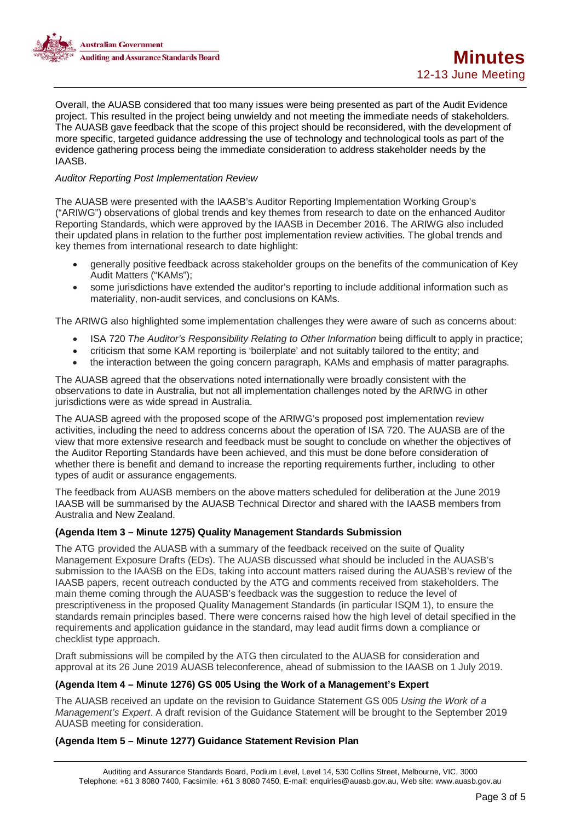

Overall, the AUASB considered that too many issues were being presented as part of the Audit Evidence project. This resulted in the project being unwieldy and not meeting the immediate needs of stakeholders. The AUASB gave feedback that the scope of this project should be reconsidered, with the development of more specific, targeted guidance addressing the use of technology and technological tools as part of the evidence gathering process being the immediate consideration to address stakeholder needs by the IAASB.

### *Auditor Reporting Post Implementation Review*

The AUASB were presented with the IAASB's Auditor Reporting Implementation Working Group's ("ARIWG") observations of global trends and key themes from research to date on the enhanced Auditor Reporting Standards, which were approved by the IAASB in December 2016. The ARIWG also included their updated plans in relation to the further post implementation review activities. The global trends and key themes from international research to date highlight:

- generally positive feedback across stakeholder groups on the benefits of the communication of Key Audit Matters ("KAMs");
- some jurisdictions have extended the auditor's reporting to include additional information such as materiality, non-audit services, and conclusions on KAMs.

The ARIWG also highlighted some implementation challenges they were aware of such as concerns about:

- ISA 720 *The Auditor's Responsibility Relating to Other Information* being difficult to apply in practice;
- criticism that some KAM reporting is 'boilerplate' and not suitably tailored to the entity; and
- the interaction between the going concern paragraph, KAMs and emphasis of matter paragraphs.

The AUASB agreed that the observations noted internationally were broadly consistent with the observations to date in Australia, but not all implementation challenges noted by the ARIWG in other jurisdictions were as wide spread in Australia.

The AUASB agreed with the proposed scope of the ARIWG's proposed post implementation review activities, including the need to address concerns about the operation of ISA 720. The AUASB are of the view that more extensive research and feedback must be sought to conclude on whether the objectives of the Auditor Reporting Standards have been achieved, and this must be done before consideration of whether there is benefit and demand to increase the reporting requirements further, including to other types of audit or assurance engagements.

The feedback from AUASB members on the above matters scheduled for deliberation at the June 2019 IAASB will be summarised by the AUASB Technical Director and shared with the IAASB members from Australia and New Zealand.

#### **(Agenda Item 3 – Minute 1275) Quality Management Standards Submission**

The ATG provided the AUASB with a summary of the feedback received on the suite of Quality Management Exposure Drafts (EDs). The AUASB discussed what should be included in the AUASB's submission to the IAASB on the EDs, taking into account matters raised during the AUASB's review of the IAASB papers, recent outreach conducted by the ATG and comments received from stakeholders. The main theme coming through the AUASB's feedback was the suggestion to reduce the level of prescriptiveness in the proposed Quality Management Standards (in particular ISQM 1), to ensure the standards remain principles based. There were concerns raised how the high level of detail specified in the requirements and application guidance in the standard, may lead audit firms down a compliance or checklist type approach.

Draft submissions will be compiled by the ATG then circulated to the AUASB for consideration and approval at its 26 June 2019 AUASB teleconference, ahead of submission to the IAASB on 1 July 2019.

#### **(Agenda Item 4 – Minute 1276) GS 005 Using the Work of a Management's Expert**

The AUASB received an update on the revision to Guidance Statement GS 005 *Using the Work of a Management's Expert*. A draft revision of the Guidance Statement will be brought to the September 2019 AUASB meeting for consideration.

#### **(Agenda Item 5 – Minute 1277) Guidance Statement Revision Plan**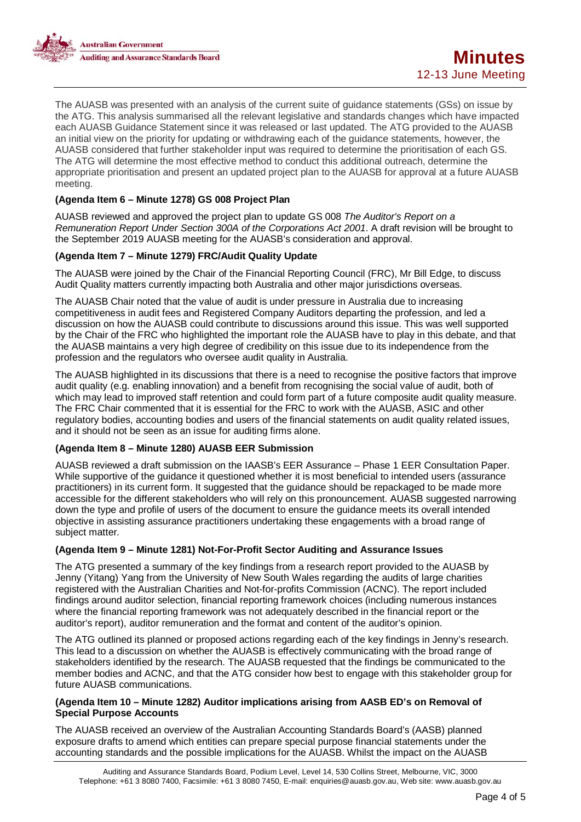

The AUASB was presented with an analysis of the current suite of guidance statements (GSs) on issue by the ATG. This analysis summarised all the relevant legislative and standards changes which have impacted each AUASB Guidance Statement since it was released or last updated. The ATG provided to the AUASB an initial view on the priority for updating or withdrawing each of the guidance statements, however, the AUASB considered that further stakeholder input was required to determine the prioritisation of each GS. The ATG will determine the most effective method to conduct this additional outreach, determine the appropriate prioritisation and present an updated project plan to the AUASB for approval at a future AUASB meeting.

## **(Agenda Item 6 – Minute 1278) GS 008 Project Plan**

AUASB reviewed and approved the project plan to update GS 008 *The Auditor's Report on a Remuneration Report Under Section 300A of the Corporations Act 2001*. A draft revision will be brought to the September 2019 AUASB meeting for the AUASB's consideration and approval.

# **(Agenda Item 7 – Minute 1279) FRC/Audit Quality Update**

The AUASB were joined by the Chair of the Financial Reporting Council (FRC), Mr Bill Edge, to discuss Audit Quality matters currently impacting both Australia and other major jurisdictions overseas.

The AUASB Chair noted that the value of audit is under pressure in Australia due to increasing competitiveness in audit fees and Registered Company Auditors departing the profession, and led a discussion on how the AUASB could contribute to discussions around this issue. This was well supported by the Chair of the FRC who highlighted the important role the AUASB have to play in this debate, and that the AUASB maintains a very high degree of credibility on this issue due to its independence from the profession and the regulators who oversee audit quality in Australia.

The AUASB highlighted in its discussions that there is a need to recognise the positive factors that improve audit quality (e.g. enabling innovation) and a benefit from recognising the social value of audit, both of which may lead to improved staff retention and could form part of a future composite audit quality measure. The FRC Chair commented that it is essential for the FRC to work with the AUASB, ASIC and other regulatory bodies, accounting bodies and users of the financial statements on audit quality related issues, and it should not be seen as an issue for auditing firms alone.

## **(Agenda Item 8 – Minute 1280) AUASB EER Submission**

AUASB reviewed a draft submission on the IAASB's EER Assurance – Phase 1 EER Consultation Paper. While supportive of the guidance it questioned whether it is most beneficial to intended users (assurance practitioners) in its current form. It suggested that the guidance should be repackaged to be made more accessible for the different stakeholders who will rely on this pronouncement. AUASB suggested narrowing down the type and profile of users of the document to ensure the guidance meets its overall intended objective in assisting assurance practitioners undertaking these engagements with a broad range of subject matter.

## **(Agenda Item 9 – Minute 1281) Not-For-Profit Sector Auditing and Assurance Issues**

The ATG presented a summary of the key findings from a research report provided to the AUASB by Jenny (Yitang) Yang from the University of New South Wales regarding the audits of large charities registered with the Australian Charities and Not-for-profits Commission (ACNC). The report included findings around auditor selection, financial reporting framework choices (including numerous instances where the financial reporting framework was not adequately described in the financial report or the auditor's report), auditor remuneration and the format and content of the auditor's opinion.

The ATG outlined its planned or proposed actions regarding each of the key findings in Jenny's research. This lead to a discussion on whether the AUASB is effectively communicating with the broad range of stakeholders identified by the research. The AUASB requested that the findings be communicated to the member bodies and ACNC, and that the ATG consider how best to engage with this stakeholder group for future AUASB communications.

## **(Agenda Item 10 – Minute 1282) Auditor implications arising from AASB ED's on Removal of Special Purpose Accounts**

The AUASB received an overview of the Australian Accounting Standards Board's (AASB) planned exposure drafts to amend which entities can prepare special purpose financial statements under the accounting standards and the possible implications for the AUASB. Whilst the impact on the AUASB